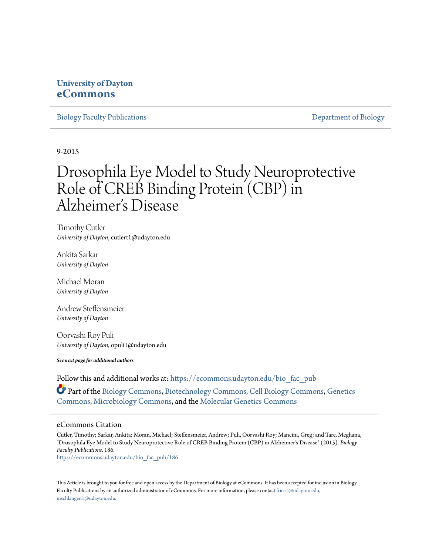## **University of Dayton [eCommons](https://ecommons.udayton.edu?utm_source=ecommons.udayton.edu%2Fbio_fac_pub%2F186&utm_medium=PDF&utm_campaign=PDFCoverPages)**

[Biology Faculty Publications](https://ecommons.udayton.edu/bio_fac_pub?utm_source=ecommons.udayton.edu%2Fbio_fac_pub%2F186&utm_medium=PDF&utm_campaign=PDFCoverPages) **[Department of Biology](https://ecommons.udayton.edu/bio?utm_source=ecommons.udayton.edu%2Fbio_fac_pub%2F186&utm_medium=PDF&utm_campaign=PDFCoverPages)** 

9-2015

# Drosophila Eye Model to Study Neuroprotective Role of CREB Binding Protein (CBP) in Alzheimer 's Disease

Timothy Cutler *University of Dayton*, cutlert1@udayton.edu

Ankita Sarkar *University of Dayton*

Michael Moran *University of Dayton*

Andrew Steffensmeier *University of Dayton*

Oorvashi Roy Puli *University of Dayton*, opuli1@udayton.edu

*See next page for additional authors*

Follow this and additional works at: [https://ecommons.udayton.edu/bio\\_fac\\_pub](https://ecommons.udayton.edu/bio_fac_pub?utm_source=ecommons.udayton.edu%2Fbio_fac_pub%2F186&utm_medium=PDF&utm_campaign=PDFCoverPages)

Part of the [Biology Commons,](http://network.bepress.com/hgg/discipline/41?utm_source=ecommons.udayton.edu%2Fbio_fac_pub%2F186&utm_medium=PDF&utm_campaign=PDFCoverPages) [Biotechnology Commons,](http://network.bepress.com/hgg/discipline/111?utm_source=ecommons.udayton.edu%2Fbio_fac_pub%2F186&utm_medium=PDF&utm_campaign=PDFCoverPages) [Cell Biology Commons](http://network.bepress.com/hgg/discipline/10?utm_source=ecommons.udayton.edu%2Fbio_fac_pub%2F186&utm_medium=PDF&utm_campaign=PDFCoverPages), [Genetics](http://network.bepress.com/hgg/discipline/29?utm_source=ecommons.udayton.edu%2Fbio_fac_pub%2F186&utm_medium=PDF&utm_campaign=PDFCoverPages) [Commons,](http://network.bepress.com/hgg/discipline/29?utm_source=ecommons.udayton.edu%2Fbio_fac_pub%2F186&utm_medium=PDF&utm_campaign=PDFCoverPages) [Microbiology Commons](http://network.bepress.com/hgg/discipline/48?utm_source=ecommons.udayton.edu%2Fbio_fac_pub%2F186&utm_medium=PDF&utm_campaign=PDFCoverPages), and the [Molecular Genetics Commons](http://network.bepress.com/hgg/discipline/31?utm_source=ecommons.udayton.edu%2Fbio_fac_pub%2F186&utm_medium=PDF&utm_campaign=PDFCoverPages)

#### eCommons Citation

Cutler, Timothy; Sarkar, Ankita; Moran, Michael; Steffensmeier, Andrew; Puli, Oorvashi Roy; Mancini, Greg; and Tare, Meghana, "Drosophila Eye Model to Study Neuroprotective Role of CREB Binding Protein (CBP) in Alzheimer's Disease" (2015). *Biology Faculty Publications*. 186.

[https://ecommons.udayton.edu/bio\\_fac\\_pub/186](https://ecommons.udayton.edu/bio_fac_pub/186?utm_source=ecommons.udayton.edu%2Fbio_fac_pub%2F186&utm_medium=PDF&utm_campaign=PDFCoverPages)

This Article is brought to you for free and open access by the Department of Biology at eCommons. It has been accepted for inclusion in Biology Faculty Publications by an authorized administrator of eCommons. For more information, please contact [frice1@udayton.edu,](mailto:frice1@udayton.edu,%20mschlangen1@udayton.edu) [mschlangen1@udayton.edu.](mailto:frice1@udayton.edu,%20mschlangen1@udayton.edu)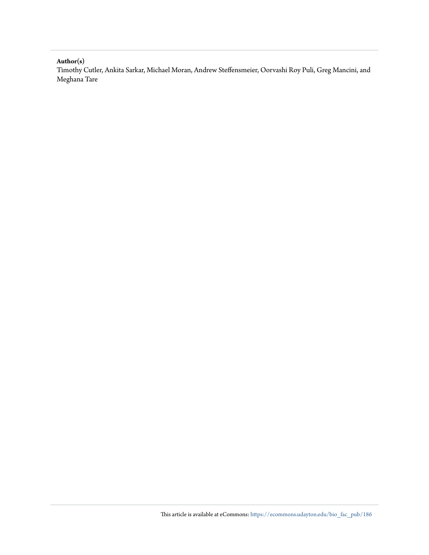**Author(s)**

Timothy Cutler, Ankita Sarkar, Michael Moran, Andrew Steffensmeier, Oorvashi Roy Puli, Greg Mancini, and Meghana Tare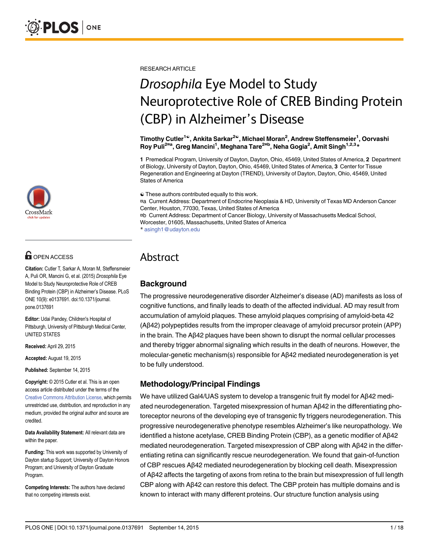

## **OPEN ACCESS**

Citation: Cutler T, Sarkar A, Moran M, Steffensmeier A, Puli OR, Mancini G, et al. (2015) Drosophila Eye Model to Study Neuroprotective Role of CREB Binding Protein (CBP) in Alzheimer's Disease. PLoS ONE 10(9): e0137691. doi:10.1371/journal. pone.0137691

Editor: Udai Pandey, Children's Hospital of Pittsburgh, University of Pittsburgh Medical Center, UNITED STATES

Received: April 29, 2015

Accepted: August 19, 2015

Published: September 14, 2015

Copyright: © 2015 Cutler et al. This is an open access article distributed under the terms of the Creative Commons Attribution License, which permits unrestricted use, distribution, and reproduction in any medium, provided the original author and source are credited.

Data Availability Statement: All relevant data are within the paper.

Funding: This work was supported by University of Dayton startup Support; University of Dayton Honors Program; and University of Dayton Graduate Program.

Competing Interests: The authors have declared that no competing interests exist.

RESEARCH ARTICLE

# Drosophila Eye Model to Study Neuroprotective Role of CREB Binding Protein (CBP) in Alzheimer's Disease

Timothy Cutler<sup>1©</sup>, Ankita Sarkar<sup>2©</sup>, Michael Moran<sup>2</sup>, Andrew Steffensmeier<sup>1</sup>, Oorvashi Roy Puli<sup>2¤a</sup>, Greg Mancini<sup>1</sup>, Meghana Tare<sup>2¤b</sup>, Neha Gogia<sup>2</sup>, Amit Singh<sup>1,2,3</sup>\*

1 Premedical Program, University of Dayton, Dayton, Ohio, 45469, United States of America, 2 Department of Biology, University of Dayton, Dayton, Ohio, 45469, United States of America, 3 Center for Tissue Regeneration and Engineering at Dayton (TREND), University of Dayton, Dayton, Ohio, 45469, United States of America

☯ These authors contributed equally to this work.

¤a Current Address: Department of Endocrine Neoplasia & HD, University of Texas MD Anderson Cancer Center, Houston, 77030, Texas, United States of America ¤b Current Address: Department of Cancer Biology, University of Massachusetts Medical School, Worcester, 01605, Massachusetts, United States of America

\* asingh1@udayton.edu

## Abstract

## **Background**

The progressive neurodegenerative disorder Alzheimer's disease (AD) manifests as loss of cognitive functions, and finally leads to death of the affected individual. AD may result from accumulation of amyloid plaques. These amyloid plaques comprising of amyloid-beta 42 (Aβ42) polypeptides results from the improper cleavage of amyloid precursor protein (APP) in the brain. The Aβ42 plaques have been shown to disrupt the normal cellular processes and thereby trigger abnormal signaling which results in the death of neurons. However, the molecular-genetic mechanism(s) responsible for Aβ42 mediated neurodegeneration is yet to be fully understood.

## Methodology/Principal Findings

We have utilized Gal4/UAS system to develop a transgenic fruit fly model for Aβ42 mediated neurodegeneration. Targeted misexpression of human Aβ42 in the differentiating photoreceptor neurons of the developing eye of transgenic fly triggers neurodegeneration. This progressive neurodegenerative phenotype resembles Alzheimer's like neuropathology. We identified a histone acetylase, CREB Binding Protein (CBP), as a genetic modifier of Aβ42 mediated neurodegeneration. Targeted misexpression of CBP along with Aβ42 in the differentiating retina can significantly rescue neurodegeneration. We found that gain-of-function of CBP rescues Aβ42 mediated neurodegeneration by blocking cell death. Misexpression of Aβ42 affects the targeting of axons from retina to the brain but misexpression of full length CBP along with Aβ42 can restore this defect. The CBP protein has multiple domains and is known to interact with many different proteins. Our structure function analysis using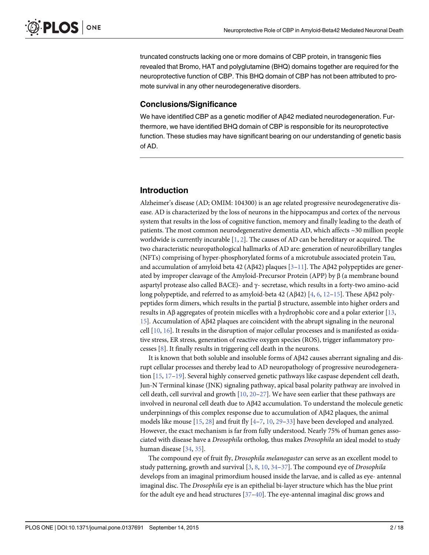truncated constructs lacking one or more domains of CBP protein, in transgenic flies revealed that Bromo, HAT and polyglutamine (BHQ) domains together are required for the neuroprotective function of CBP. This BHQ domain of CBP has not been attributed to promote survival in any other neurodegenerative disorders.

#### Conclusions/Significance

We have identified CBP as a genetic modifier of Aβ42 mediated neurodegeneration. Furthermore, we have identified BHQ domain of CBP is responsible for its neuroprotective function. These studies may have significant bearing on our understanding of genetic basis of AD.

### Introduction

Alzheimer's disease (AD; OMIM: 104300) is an age related progressive neurodegenerative disease. AD is characterized by the loss of neurons in the hippocampus and cortex of the nervous system that results in the loss of cognitive function, memory and finally leading to the death of patients. The most common neurodegenerative dementia AD, which affects ~30 million people worldwide is currently incurable  $[1, 2]$ . The causes of AD can be hereditary or acquired. The two characteristic neuropathological hallmarks of AD are: generation of neurofibrillary tangles (NFTs) comprising of hyper-phosphorylated forms of a microtubule associated protein Tau, and accumulation of amyloid beta 42 (Aβ42) plaques  $[3-11]$ . The Aβ42 polypeptides are generated by improper cleavage of the Amyloid-Precursor Protein (APP) by  $\beta$  (a membrane bound aspartyl protease also called BACE)- and γ- secretase, which results in a forty-two amino-acid long polypeptide, and referred to as amyloid-beta 42 (Aβ42) [4, 6, 12–15]. These Aβ42 polypeptides form dimers, which results in the partial β structure, assemble into higher orders and results in Aβ aggregates of protein micelles with a hydrophobic core and a polar exterior  $[13,$ 15]. Accumulation of Aβ42 plaques are coincident with the abrupt signaling in the neuronal cell  $[10, 16]$ . It results in the disruption of major cellular processes and is manifested as oxidative stress, ER stress, generation of reactive oxygen species (ROS), trigger inflammatory processes [8]. It finally results in triggering cell death in the neurons.

It is known that both soluble and insoluble forms of Aβ42 causes aberrant signaling and disrupt cellular processes and thereby lead to AD neuropathology of progressive neurodegeneration [15, 17–19]. Several highly conserved genetic pathways like caspase dependent cell death, Jun-N Terminal kinase (JNK) signaling pathway, apical basal polarity pathway are involved in cell death, cell survival and growth  $[10, 20-27]$ . We have seen earlier that these pathways are involved in neuronal cell death due to Aβ42 accumulation. To understand the molecule genetic underpinnings of this complex response due to accumulation of Aβ42 plaques, the animal models like mouse  $[15, 28]$  and fruit fly  $[4–7, 10, 29–33]$  have been developed and analyzed. However, the exact mechanism is far from fully understood. Nearly 75% of human genes associated with disease have a Drosophila ortholog, thus makes Drosophila an ideal model to study human disease [34, 35].

The compound eye of fruit fly, Drosophila melanogaster can serve as an excellent model to study patterning, growth and survival  $[3, 8, 10, 34-37]$ . The compound eye of *Drosophila* develops from an imaginal primordium housed inside the larvae, and is called as eye- antennal imaginal disc. The Drosophila eye is an epithelial bi-layer structure which has the blue print for the adult eye and head structures  $[37-40]$ . The eye-antennal imaginal disc grows and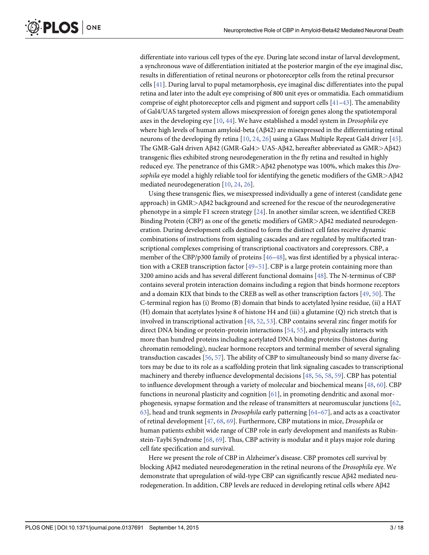differentiate into various cell types of the eye. During late second instar of larval development, a synchronous wave of differentiation initiated at the posterior margin of the eye imaginal disc, results in differentiation of retinal neurons or photoreceptor cells from the retinal precursor cells [41]. During larval to pupal metamorphosis, eye imaginal disc differentiates into the pupal retina and later into the adult eye comprising of 800 unit eyes or ommatidia. Each ommatidium comprise of eight photoreceptor cells and pigment and support cells  $[41-43]$ . The amenability of Gal4/UAS targeted system allows misexpression of foreign genes along the spatiotemporal axes in the developing eye [10, 44]. We have established a model system in Drosophila eye where high levels of human amyloid-beta (Aβ42) are misexpressed in the differentiating retinal neurons of the developing fly retina [10, 24, 26] using a Glass Multiple Repeat Gal4 driver [45]. The GMR-Gal4 driven Aβ42 (GMR-Gal4> UAS-Aβ42, hereafter abbreviated as GMR>Aβ42) transgenic flies exhibited strong neurodegeneration in the fly retina and resulted in highly reduced eye. The penetrance of this GMR>Aβ42 phenotype was 100%, which makes this Drosophila eye model a highly reliable tool for identifying the genetic modifiers of the  $GMR > A\beta42$ mediated neurodegeneration [10, 24, 26].

Using these transgenic flies, we misexpressed individually a gene of interest (candidate gene approach) in GMR>Aβ42 background and screened for the rescue of the neurodegenerative phenotype in a simple F1 screen strategy [24]. In another similar screen, we identified CREB Binding Protein (CBP) as one of the genetic modifiers of GMR>Aβ42 mediated neurodegeneration. During development cells destined to form the distinct cell fates receive dynamic combinations of instructions from signaling cascades and are regulated by multifaceted transcriptional complexes comprising of transcriptional coactivators and corepressors. CBP, a member of the CBP/p300 family of proteins  $[46-48]$ , was first identified by a physical interaction with a CREB transcription factor  $[49-51]$ . CBP is a large protein containing more than 3200 amino acids and has several different functional domains [48]. The N-terminus of CBP contains several protein interaction domains including a region that binds hormone receptors and a domain KIX that binds to the CREB as well as other transcription factors [49, 50]. The C-terminal region has (i) Bromo (B) domain that binds to acetylated lysine residue, (ii) a HAT (H) domain that acetylates lysine 8 of histone H4 and (iii) a glutamine (Q) rich stretch that is involved in transcriptional activation [48, 52, 53]. CBP contains several zinc finger motifs for direct DNA binding or protein-protein interactions [54, 55], and physically interacts with more than hundred proteins including acetylated DNA binding proteins (histones during chromatin remodeling), nuclear hormone receptors and terminal member of several signaling transduction cascades [56, 57]. The ability of CBP to simultaneously bind so many diverse factors may be due to its role as a scaffolding protein that link signaling cascades to transcriptional machinery and thereby influence developmental decisions [48, 56, 58, 59]. CBP has potential to influence development through a variety of molecular and biochemical means [48, 60]. CBP functions in neuronal plasticity and cognition [61], in promoting dendritic and axonal morphogenesis, synapse formation and the release of transmitters at neuromuscular junctions [62,  $63$ , head and trunk segments in *Drosophila* early patterning  $[64-67]$ , and acts as a coactivator of retinal development [47, 68, 69]. Furthermore, CBP mutations in mice, Drosophila or human patients exhibit wide range of CBP role in early development and manifests as Rubinstein-Taybi Syndrome [68, 69]. Thus, CBP activity is modular and it plays major role during cell fate specification and survival.

Here we present the role of CBP in Alzheimer's disease. CBP promotes cell survival by blocking Aβ42 mediated neurodegeneration in the retinal neurons of the Drosophila eye. We demonstrate that upregulation of wild-type CBP can significantly rescue Aβ42 mediated neurodegeneration. In addition, CBP levels are reduced in developing retinal cells where Aβ42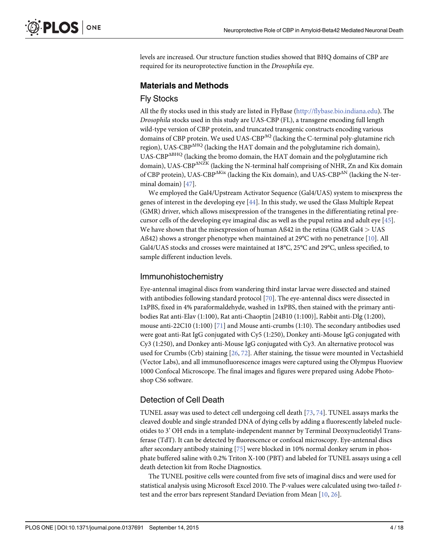levels are increased. Our structure function studies showed that BHQ domains of CBP are required for its neuroprotective function in the Drosophila eye.

## Materials and Methods

## Fly Stocks

All the fly stocks used in this study are listed in FlyBase (http://flybase.bio.indiana.edu). The Drosophila stocks used in this study are UAS-CBP (FL), a transgene encoding full length wild-type version of CBP protein, and truncated transgenic constructs encoding various domains of CBP protein. We used UAS-CBP $^{AQ}$  (lacking the C-terminal poly-glutamine rich region), UAS-CBP $\Delta$ <sup>HQ</sup> (lacking the HAT domain and the polyglutamine rich domain), UAS-CBP $\Delta$ BHQ (lacking the bromo domain, the HAT domain and the polyglutamine rich domain), UAS-CBP<sup> $\triangle$ NZK</sup> (lacking the N-terminal half comprising of NHR, Zn and Kix domain of CBP protein), UAS-CBP $\Delta$ Kix (lacking the Kix domain), and UAS-CBP $\Delta$ N (lacking the N-terminal domain) [47].

We employed the Gal4/Upstream Activator Sequence (Gal4/UAS) system to misexpress the genes of interest in the developing eye [44]. In this study, we used the Glass Multiple Repeat (GMR) driver, which allows misexpression of the transgenes in the differentiating retinal precursor cells of the developing eye imaginal disc as well as the pupal retina and adult eye  $[45]$ . We have shown that the misexpression of human Aß42 in the retina (GMR Gal4 > UAS Aß42) shows a stronger phenotype when maintained at 29 $\degree$ C with no penetrance [10]. All Gal4/UAS stocks and crosses were maintained at 18°C, 25°C and 29°C, unless specified, to sample different induction levels.

## Immunohistochemistry

Eye-antennal imaginal discs from wandering third instar larvae were dissected and stained with antibodies following standard protocol [70]. The eye-antennal discs were dissected in 1xPBS, fixed in 4% paraformaldehyde, washed in 1xPBS, then stained with the primary antibodies Rat anti-Elav (1:100), Rat anti-Chaoptin [24B10 (1:100)], Rabbit anti-Dlg (1:200), mouse anti-22C10 (1:100) [71] and Mouse anti-crumbs (1:10). The secondary antibodies used were goat anti-Rat IgG conjugated with Cy5 (1:250), Donkey anti-Mouse IgG conjugated with Cy3 (1:250), and Donkey anti-Mouse IgG conjugated with Cy3. An alternative protocol was used for Crumbs (Crb) staining [26, 72]. After staining, the tissue were mounted in Vectashield (Vector Labs), and all immunofluorescence images were captured using the Olympus Fluoview 1000 Confocal Microscope. The final images and figures were prepared using Adobe Photoshop CS6 software.

## Detection of Cell Death

TUNEL assay was used to detect cell undergoing cell death [73, 74]. TUNEL assays marks the cleaved double and single stranded DNA of dying cells by adding a fluorescently labeled nucleotides to 3' OH ends in a template-independent manner by Terminal Deoxynucleotidyl Transferase (TdT). It can be detected by fluorescence or confocal microscopy. Eye-antennal discs after secondary antibody staining [75] were blocked in 10% normal donkey serum in phosphate buffered saline with 0.2% Triton X-100 (PBT) and labeled for TUNEL assays using a cell death detection kit from Roche Diagnostics.

The TUNEL positive cells were counted from five sets of imaginal discs and were used for statistical analysis using Microsoft Excel 2010. The P-values were calculated using two-tailed ttest and the error bars represent Standard Deviation from Mean [10, 26].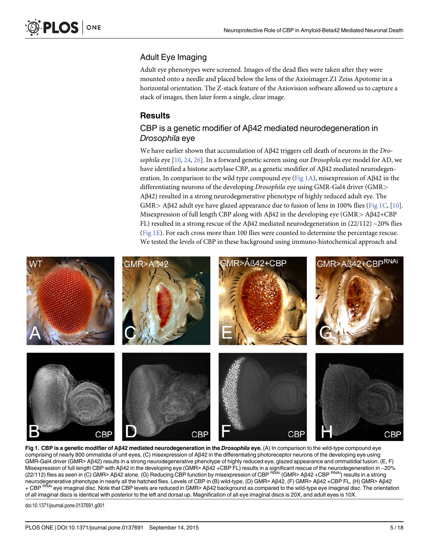## Adult Eye Imaging

Adult eye phenotypes were screened. Images of the dead flies were taken after they were mounted onto a needle and placed below the lens of the Axioimager.Z1 Zeiss Apotome in a horizontal orientation. The Z-stack feature of the Axiovision software allowed us to capture a stack of images, then later form a single, clear image.

## **Results**

## CBP is a genetic modifier of Aβ42 mediated neurodegeneration in Drosophila eye

We have earlier shown that accumulation of Aβ42 triggers cell death of neurons in the Drosophila eye  $[10, 24, 26]$ . In a forward genetic screen using our *Drosophila* eye model for AD, we have identified a histone acetylase CBP, as a genetic modifier of Aβ42 mediated neurodegeneration. In comparison to the wild type compound eye (Fig 1A), misexpression of Aβ42 in the differentiating neurons of the developing Drosophila eye using GMR-Gal4 driver (GMR<sup>&</sup>gt; Aβ42) resulted in a strong neurodegenerative phenotype of highly reduced adult eye. The GMR> A $\beta$ 42 adult eye have glazed appearance due to fusion of lens in 100% flies (Fig 1C, [10]. Misexpression of full length CBP along with  $\text{A}\beta42$  in the developing eye (GMR>  $\text{A}\beta42+\text{CBP}$ ) FL) resulted in a strong rescue of the A $\beta$ 42 mediated neurodegeneration in (22/112) ~20% flies (Fig 1E). For each cross more than 100 flies were counted to determine the percentage rescue. We tested the levels of CBP in these background using immuno-histochemical approach and



Fig 1. CBP is a genetic modifier of Aβ42 mediated neurodegeneration in the Drosophila eye. (A) In comparison to the wild-type compound eye comprising of nearly 800 ommatidia of unit eyes, (C) misexpression of Aβ42 in the differentiating photoreceptor neurons of the developing eye using GMR-Gal4 driver (GMR> Aβ42) results in a strong neurodegenerative phenotype of highly reduced eye, glazed appearance and ommatidial fusion. (E, F) Misexpression of full length CBP with Aβ42 in the developing eye (GMR> Aβ42 +CBP FL) results in a significant rescue of the neurodegeneration in ~20%<br>(22/112) flies as seen in (C) GMR> Aβ42 alone. (G) Reducing CBP functio neurodegenerative phenotype in nearly all the hatched flies. Levels of CBP in (B) wild-type, (D) GMR> Aβ42, (F) GMR> Aβ42 +CBP FL, (H) GMR> Aβ42 + CBP <sup>RŇAi</sup> eye imaginal disc. Note that CBP levels are reduced in GMR> Aβ42 background as compared to the wild-type eye imaginal disc. The orientation of all imaginal discs is identical with posterior to the left and dorsal up. Magnification of all eye imaginal discs is 20X, and adult eyes is 10X.

doi:10.1371/journal.pone.0137691.g001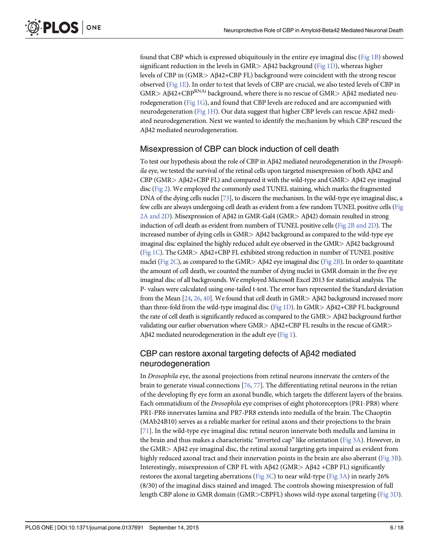found that CBP which is expressed ubiquitously in the entire eye imaginal disc ( $Fig 1B$ ) showed significant reduction in the levels in GMR > A $\beta$ 42 background (Fig 1D), whereas higher levels of CBP in (GMR> Aβ42+CBP FL) background were coincident with the strong rescue observed (Fig 1E). In order to test that levels of CBP are crucial, we also tested levels of CBP in  $GMR > AB42+CBP<sup>RNAi</sup>$  background, where there is no rescue of  $GMR > AB42$  mediated neurodegeneration ( $Fig 1G$ ), and found that CBP levels are reduced and are accompanied with neurodegeneration (Fig 1H). Our data suggest that higher CBP levels can rescue Aβ42 mediated neurodegeneration. Next we wanted to identify the mechanism by which CBP rescued the Aβ42 mediated neurodegeneration.

#### Misexpression of CBP can block induction of cell death

To test our hypothesis about the role of CBP in Aβ42 mediated neurodegeneration in the Drosophila eye, we tested the survival of the retinal cells upon targeted misexpression of both Aβ42 and CBP (GMR> Aβ42+CBP FL) and compared it with the wild-type and GMR> Aβ42 eye imaginal disc (Fig 2). We employed the commonly used TUNEL staining, which marks the fragmented DNA of the dying cells nuclei [73], to discern the mechanism. In the wild-type eye imaginal disc, a few cells are always undergoing cell death as evident from a few random TUNEL positive cells (Fig 2A and 2D). Misexpression of Aβ42 in GMR-Gal4 (GMR> Aβ42) domain resulted in strong induction of cell death as evident from numbers of TUNEL positive cells (Fig 2B and 2D). The increased number of dying cells in GMR> Aβ42 background as compared to the wild-type eye imaginal disc explained the highly reduced adult eye observed in the GMR> Aβ42 background (Fig 1C). The GMR> Aβ42+CBP FL exhibited strong reduction in number of TUNEL positive nuclei (Fig 2C), as compared to the GMR> Aβ42 eye imaginal disc (Fig 2B). In order to quantitate the amount of cell death, we counted the number of dying nuclei in GMR domain in the five eye imaginal disc of all backgrounds. We employed Microsoft Excel 2013 for statistical analysis. The P- values were calculated using one-tailed t-test. The error bars represented the Standard deviation from the Mean [24, 26, 40]. We found that cell death in GMR> Aβ42 background increased more than three-fold from the wild-type imaginal disc (Fig 1D). In GMR> Aβ42+CBP FL background the rate of cell death is significantly reduced as compared to the GMR> Aβ42 background further validating our earlier observation where GMR> Aβ42+CBP FL results in the rescue of GMR> Aβ42 mediated neurodegeneration in the adult eye (Fig 1).

#### CBP can restore axonal targeting defects of Aβ42 mediated neurodegeneration

In Drosophila eye, the axonal projections from retinal neurons innervate the centers of the brain to generate visual connections  $[76, 77]$ . The differentiating retinal neurons in the retian of the developing fly eye form an axonal bundle, which targets the different layers of the brains. Each ommatidium of the Drosophila eye comprises of eight photoreceptors (PR1-PR8) where PR1-PR6 innervates lamina and PR7-PR8 extends into medulla of the brain. The Chaoptin (MAb24B10) serves as a reliable marker for retinal axons and their projections to the brain [71]. In the wild-type eye imaginal disc retinal neuron innervate both medulla and lamina in the brain and thus makes a characteristic "inverted cap" like orientation ( $Fig 3A$ ). However, in the GMR> Aβ42 eye imaginal disc, the retinal axonal targeting gets impaired as evident from highly reduced axonal tract and their innervation points in the brain are also aberrant (Fig 3B). Interestingly, misexpression of CBP FL with Aβ42 (GMR> Aβ42 +CBP FL) significantly restores the axonal targeting aberrations (Fig 3C) to near wild-type (Fig 3A) in nearly 26% (8/30) of the imaginal discs stained and imaged. The controls showing misexpression of full length CBP alone in GMR domain (GMR>CBPFL) shows wild-type axonal targeting (Fig 3D).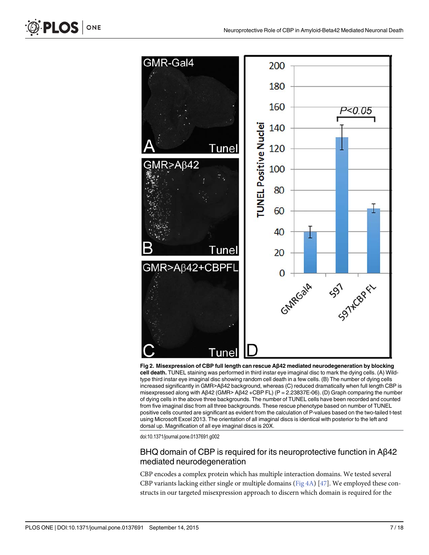

Fig 2. Misexpression of CBP full length can rescue Aβ42 mediated neurodegeneration by blocking cell death. TUNEL staining was performed in third instar eye imaginal disc to mark the dying cells. (A) Wildtype third instar eye imaginal disc showing random cell death in a few cells. (B) The number of dying cells increased significantly in GMR>Aβ42 background, whereas (C) reduced dramatically when full length CBP is misexpressed along with Aβ42 (GMR> Aβ42 +CBP FL) (P = 2.23837E-06). (D) Graph comparing the number of dying cells in the above three backgrounds. The number of TUNEL cells have been recorded and counted from five imaginal disc from all three backgrounds. These rescue phenotype based on number of TUNEL positive cells counted are significant as evident from the calculation of P-values based on the two-tailed t-test using Microsoft Excel 2013. The orientation of all imaginal discs is identical with posterior to the left and dorsal up. Magnification of all eye imaginal discs is 20X.

### BHQ domain of CBP is required for its neuroprotective function in Aβ42 mediated neurodegeneration

CBP encodes a complex protein which has multiple interaction domains. We tested several CBP variants lacking either single or multiple domains ( $Fig 4A$ ) [ $47$ ]. We employed these constructs in our targeted misexpression approach to discern which domain is required for the

PLOS ONE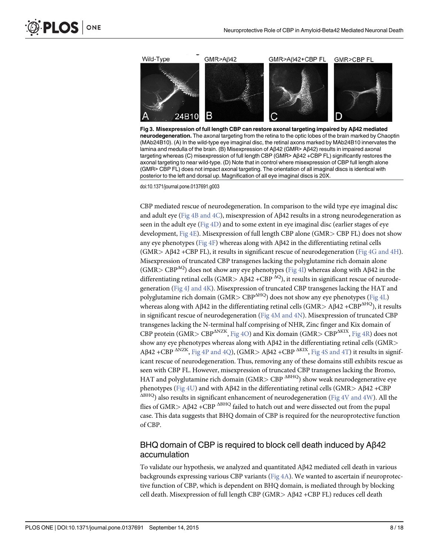

B



doi:10.1371/journal.pone.0137691.g003

PLOS ONE

CBP mediated rescue of neurodegeneration. In comparison to the wild type eye imaginal disc and adult eye (Fig 4B and 4C), misexpression of Aβ42 results in a strong neurodegeneration as seen in the adult eye ( $Fig 4D$ ) and to some extent in eye imaginal disc (earlier stages of eye development, Fig 4E). Misexpression of full length CBP alone (GMR> CBP FL) does not show any eye phenotypes (Fig 4F) whereas along with A $\beta$ 42 in the differentiating retinal cells (GMR> Aβ42 +CBP FL), it results in significant rescue of neurodegeneration (Fig 4G and 4H). Misexpression of truncated CBP transgenes lacking the polyglutamine rich domain alone (GMR> CBP<sup> $\Delta$ Q</sup>) does not show any eye phenotypes (Fig 4I) whereas along with Aβ42 in the differentiating retinal cells (GMR> AB42 +CBP  $^{AQ}$ ), it results in significant rescue of neurodegeneration (Fig 4J and 4K). Misexpression of truncated CBP transgenes lacking the HAT and polyglutamine rich domain (GMR>  $CBP<sup>uHQ</sup>$ ) does not show any eye phenotypes (Fig 4L) whereas along with Aβ42 in the differentiating retinal cells (GMR> Aβ42 +CBP<sup>AHQ</sup>), it results in significant rescue of neurodegeneration (Fig 4M and 4N). Misexpression of truncated CBP transgenes lacking the N-terminal half comprising of NHR, Zinc finger and Kix domain of CBP protein (GMR> CBP<sup> $\Delta$ NZK</sup>, Fig 4O) and Kix domain (GMR> CBP $\Delta$ <sup>KIX</sup>, Fig 4R) does not show any eye phenotypes whereas along with Aβ42 in the differentiating retinal cells (GMR>  $A\beta$ 42 +CBP  $\Delta$ NZK, Fig 4P and 4Q), (GMR> A $\beta$ 42 +CBP  $\Delta$ KIX, Fig 4S and 4T) it results in significant rescue of neurodegeneration. Thus, removing any of these domains still exhibits rescue as seen with CBP FL. However, misexpression of truncated CBP transgenes lacking the Bromo, HAT and polyglutamine rich domain (GMR> CBP  $\triangle$ <sup>BHQ</sup>) show weak neurodegenerative eye phenotypes (Fig 4U) and with Aβ42 in the differentiating retinal cells (GMR> Aβ42 +CBP  $\Delta$ BHQ) also results in significant enhancement of neurodegeneration (Fig 4V and 4W). All the flies of GMR> Aβ42 +CBP <sup>ABHQ</sup> failed to hatch out and were dissected out from the pupal case. This data suggests that BHQ domain of CBP is required for the neuroprotective function of CBP.

## BHQ domain of CBP is required to block cell death induced by Aβ42 accumulation

To validate our hypothesis, we analyzed and quantitated Aβ42 mediated cell death in various backgrounds expressing various CBP variants ( $Fig 4A$ ). We wanted to ascertain if neuroprotective function of CBP, which is dependent on BHQ domain, is mediated through by blocking cell death. Misexpression of full length CBP (GMR> Aβ42 +CBP FL) reduces cell death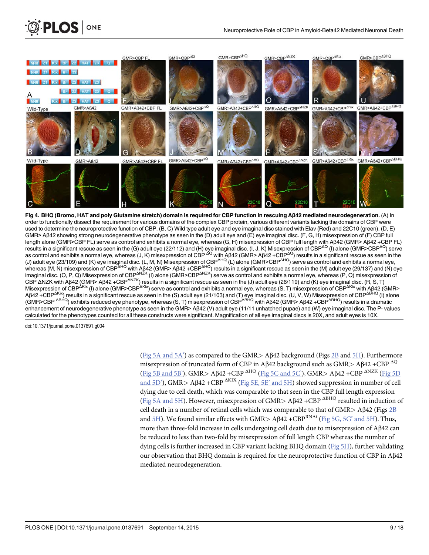

order to functionally dissect the requirement for various domains of the complex CBP protein, various different variants lacking the domains of CBP were used to determine the neuroprotective function of CBP. (B, C) Wild type adult eye and eye imaginal disc stained with Elav (Red) and 22C10 (green). (D, E) GMR> Aβ42 showing strong neurodegenerative phenotype as seen in the (D) adult eye and (E) eye imaginal disc. (F, G, H) misexpression of (F) CBP full length alone (GMR>CBP FL) serve as control and exhibits a normal eye, whereas (G, H) misexpression of CBP full length with Aβ42 (GMR> Aβ42 +CBP FL) results in a significant rescue as seen in the (G) adult eye (22/112) and (H) eye imaginal disc. (I, J, K) Misexpression of CBP<sup>ΔQ</sup> (I) alone (GMR>CBP<sup>ΔQ</sup>) serve as control and exhibits a normal eye, whereas (J, K) misexpression of CBP <sup>ΔQ</sup> with Aβ42 (GMR> Aβ42 +CBP<sup>ΔQ</sup>) results in a significant rescue as seen in the (J) adult eye (23/109) and (K) eye imaginal disc. (L, M, N) Misexpression of CBP<sup>ΔHQ</sup> (L) alone (GMR>CBP<sup>ΔHQ</sup>) serve as control and exhibits a normal eye, whereas (M, N) misexpression of CBP<sup>ΔHQ</sup> with Aβ42 (GMR> Aβ42 +CBP<sup>ΔHQ</sup>) results in a significant rescue as seen in the (M) adult eye (29/137) and (N) eye imaginal disc. (Ο, Ρ, Q) Misexpression of CBP<sup>ΔNZK</sup> (I) alone (GMR>CBP<sup>ΔNZK</sup>) serve as control and exhibits a normal eye, whereas (Ρ, Q) misexpression of CBP ΔNZK with Aβ42 (GMR> Aβ42 +CBP<sup>ΔNZK</sup>) results in a significant rescue as seen in the (J) adult eye (26/119) and (K) eye imaginal disc. (R, S, T) Misexpression of CBP<sup>ΔKix</sup> (I) alone (GMR>CBP<sup>ΔKix</sup>) serve as control and exhibits a normal eye, whereas (S, T) misexpression of CBP<sup>ΔKix</sup> with Aβ42 (GMR> Aβ42 +CBP<sup>ΔKix</sup>) results in a significant rescue as seen in the (S) adult eye (21/103) and (T) eye imaginal disc. (U, V, W) Misexpression of CBP<sup>ΔBHQ</sup> (I) alone (GMR>CBP <sup>ΔBHQ</sup>) exhibits reduced eye phenotype, whereas (S, T) misexpression of CBP<sup>ΔBHQ</sup> with Aβ42 (GMR> Aβ42 +CBP<sup>ΔBHQ</sup>) results in a dramatic enhancement of neurodegenerative phenotype as seen in the GMR> Aβ42 (V) adult eye (11/11 unhatched pupae) and (W) eye imaginal disc. The P- values calculated for the phenotypes counted for all these constructs were significant. Magnification of all eye imaginal discs is 20X, and adult eyes is 10X.

**PLOS** ONE

(Fig 5A and 5A') as compared to the GMR> Aβ42 background (Figs 2B and 5H). Furthermore misexpression of truncated form of CBP in Aβ42 background such as GMR> Aβ42 +CBP  $^{AQ}$ (Fig 5B and 5B'), GMR> A $\beta$ 42 +CBP  $\Delta$ HQ (Fig 5C and 5C'), GMR> A $\beta$ 42 +CBP  $\Delta$ NZK (Fig 5D) and 5D'), GMR> A $\beta$ 42 +CBP  $\Delta$ KIX (Fig 5E, 5E' and 5H) showed suppression in number of cell dying due to cell death, which was comparable to that seen in the CBP full length expression (Fig 5A and 5H). However, misexpression of GMR> A $\beta$ 42 +CBP  $\Delta$ <sup>BHQ</sup> resulted in induction of cell death in a number of retinal cells which was comparable to that of GMR> Aβ42 (Figs 2B and  $5H$ ). We found similar effects with GMR> A $\beta$ 42 +CBP<sup>RNAi</sup> (Fig 5G, 5G' and 5H). Thus, more than three-fold increase in cells undergoing cell death due to misexpression of Aβ42 can be reduced to less than two-fold by misexpression of full length CBP whereas the number of dying cells is further increased in CBP variant lacking BHQ domain (Fig 5H), further validating our observation that BHQ domain is required for the neuroprotective function of CBP in Aβ42 mediated neurodegeneration.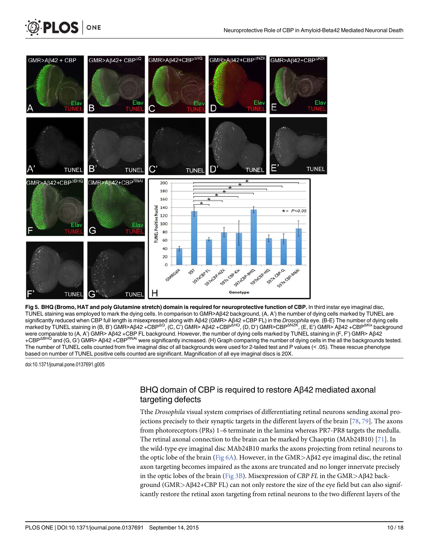

Fig 5. BHQ (Bromo, HAT and poly Glutamine stretch) domain is required for neuroprotective function of CBP. In third instar eye imaginal disc, TUNEL staining was employed to mark the dying cells. In comparison to GMR>Aβ42 background, (A, A') the number of dying cells marked by TUNEL are significantly reduced when CBP full length is misexpressed along with Aβ42 (GMR> Aβ42 +CBP FL) in the Drosophila eye. (B-E) The number of dying cells marked by TUNEL staining in (B, B') GMR>Aβ42 +CBP<sup>ΔQ</sup>, (C, C') GMR> Aβ42 +CBP<sup>ΔHQ</sup>, (D, D') GMR>CBP<sup>ΔNZK</sup>, (E, E') GMR> Aβ42 +CBP<sup>ΔKix</sup> background were comparable to (A, A') GMR> Aβ42 +CBP FL background. However, the number of dying cells marked by TUNEL staining in (F, F') GMR> Aβ42 +CBP<sup>ΔBHQ</sup> and (G, G') GMR> Aβ42 +CBP<sup>RNAi</sup> were significantly increased. (H) Graph comparing the number of dying cells in the all the backgrounds tested. The number of TUNEL cells counted from five imaginal disc of all backgrounds were used for 2-tailed test and P values (< .05). These rescue phenotype based on number of TUNEL positive cells counted are significant. Magnification of all eye imaginal discs is 20X.

**PLOS** I

ONE

## BHQ domain of CBP is required to restore Aβ42 mediated axonal targeting defects

Tthe Drosophila visual system comprises of differentiating retinal neurons sending axonal projections precisely to their synaptic targets in the different layers of the brain [78, 79]. The axons from photoreceptors (PRs) 1–6 terminate in the lamina whereas PR7-PR8 targets the medulla. The retinal axonal connection to the brain can be marked by Chaoptin (MAb24B10) [ $71$ ]. In the wild-type eye imaginal disc MAb24B10 marks the axons projecting from retinal neurons to the optic lobe of the brain (Fig  $6A$ ). However, in the GMR>A $\beta$ 42 eye imaginal disc, the retinal axon targeting becomes impaired as the axons are truncated and no longer innervate precisely in the optic lobes of the brain (Fig 3B). Misexpression of CBP FL in the GMR>Aβ42 background (GMR>Aβ42+CBP FL) can not only restore the size of the eye field but can also significantly restore the retinal axon targeting from retinal neurons to the two different layers of the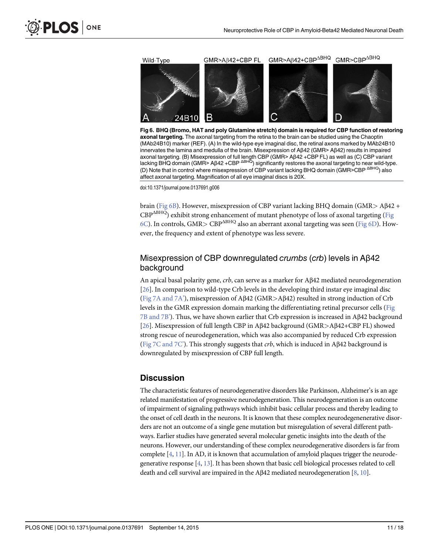



Fig 6. BHQ (Bromo, HAT and poly Glutamine stretch) domain is required for CBP function of restoring axonal targeting. The axonal targeting from the retina to the brain can be studied using the Chaoptin (MAb24B10) marker (REF). (A) In the wild-type eye imaginal disc, the retinal axons marked by MAb24B10 innervates the lamina and medulla of the brain. Misexpression of Aβ42 (GMR> Aβ42) results in impaired axonal targeting. (B) Misexpression of full length CBP (GMR> Aβ42 +CBP FL) as well as (C) CBP variant<br>lacking BHQ domain (GMR> Aβ42 +CBP <sup>ΔBHQ</sup>) significantly restores the axonal targeting to near wild-type. (D) Note that in control where misexpression of CBP variant lacking BHQ domain (GMR>CBP ΔBHQ) also affect axonal targeting. Magnification of all eye imaginal discs is 20X.

brain (Fig 6B). However, misexpression of CBP variant lacking BHQ domain (GMR> Aβ42 + CBP<sup>ΔBHQ</sup>) exhibit strong enhancement of mutant phenotype of loss of axonal targeting (Fig 6C). In controls, GMR> CBP<sup>ABHQ</sup> also an aberrant axonal targeting was seen (Fig 6D). However, the frequency and extent of phenotype was less severe.

## Misexpression of CBP downregulated crumbs (crb) levels in Aβ42 background

An apical basal polarity gene,  $crb$ , can serve as a marker for A $\beta$ 42 mediated neurodegeneration [26]. In comparison to wild-type Crb levels in the developing third instar eye imaginal disc (Fig 7A and 7A'), misexpression of Aβ42 (GMR>Aβ42) resulted in strong induction of Crb levels in the GMR expression domain marking the differentiating retinal precursor cells (Fig 7B and 7B'). Thus, we have shown earlier that Crb expression is increased in Aβ42 background [26]. Misexpression of full length CBP in Aβ42 background (GMR>Aβ42+CBP FL) showed strong rescue of neurodegeneration, which was also accompanied by reduced Crb expression (Fig 7C and 7C'). This strongly suggests that *crb*, which is induced in Aβ42 background is downregulated by misexpression of CBP full length.

#### **Discussion**

The characteristic features of neurodegenerative disorders like Parkinson, Alzheimer's is an age related manifestation of progressive neurodegeneration. This neurodegeneration is an outcome of impairment of signaling pathways which inhibit basic cellular process and thereby leading to the onset of cell death in the neurons. It is known that these complex neurodegenenerative disorders are not an outcome of a single gene mutation but misregulation of several different pathways. Earlier studies have generated several molecular genetic insights into the death of the neurons. However, our understanding of these complex neurodegenerative disorders is far from complete  $[4, 11]$ . In AD, it is known that accumulation of amyloid plaques trigger the neurodegenerative response [4, 13]. It has been shown that basic cell biological processes related to cell death and cell survival are impaired in the A $\beta$ 42 mediated neurodegeneration [8, 10].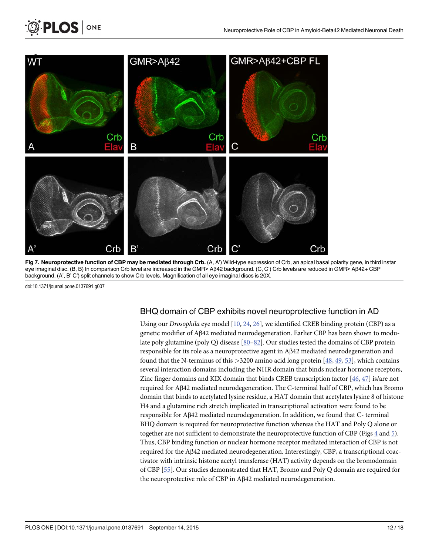

Fig 7. Neuroprotective function of CBP may be mediated through Crb. (A, A') Wild-type expression of Crb, an apical basal polarity gene, in third instar eye imaginal disc. (B, B) In comparison Crb level are increased in the GMR> Aβ42 background. (C, C') Crb levels are reduced in GMR> Aβ42+ CBP background. (A', B' C') split channels to show Crb levels. Magnification of all eye imaginal discs is 20X.

**PLOS** ONE

### BHQ domain of CBP exhibits novel neuroprotective function in AD

Using our *Drosophila* eye model [10, 24, 26], we identified CREB binding protein (CBP) as a genetic modifier of Aβ42 mediated neurodegeneration. Earlier CBP has been shown to modulate poly glutamine (poly Q) disease [80–82]. Our studies tested the domains of CBP protein responsible for its role as a neuroprotective agent in Aβ42 mediated neurodegeneration and found that the N-terminus of this >3200 amino acid long protein [48, 49, 53], which contains several interaction domains including the NHR domain that binds nuclear hormone receptors, Zinc finger domains and KIX domain that binds CREB transcription factor [46, 47] is/are not required for Aβ42 mediated neurodegeneration. The C-terminal half of CBP, which has Bromo domain that binds to acetylated lysine residue, a HAT domain that acetylates lysine 8 of histone H4 and a glutamine rich stretch implicated in transcriptional activation were found to be responsible for Aβ42 mediated neurodegeneration. In addition, we found that C- terminal BHQ domain is required for neuroprotective function whereas the HAT and Poly Q alone or together are not sufficient to demonstrate the neuroprotective function of CBP (Figs 4 and 5). Thus, CBP binding function or nuclear hormone receptor mediated interaction of CBP is not required for the Aβ42 mediated neurodegeneration. Interestingly, CBP, a transcriptional coactivator with intrinsic histone acetyl transferase (HAT) activity depends on the bromodomain of CBP [55]. Our studies demonstrated that HAT, Bromo and Poly Q domain are required for the neuroprotective role of CBP in Aβ42 mediated neurodegeneration.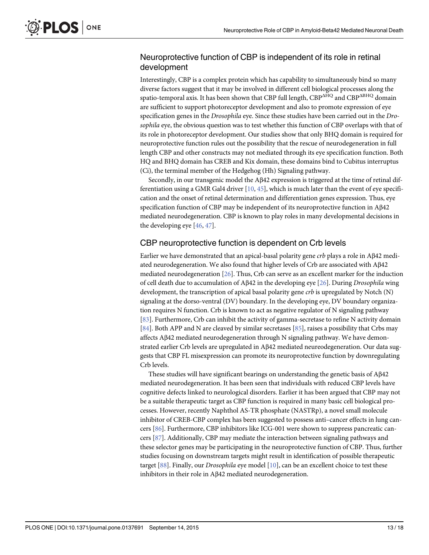## Neuroprotective function of CBP is independent of its role in retinal development

Interestingly, CBP is a complex protein which has capability to simultaneously bind so many diverse factors suggest that it may be involved in different cell biological processes along the spatio-temporal axis. It has been shown that CBP full length,  $\text{CBP}^{\Delta HQ}$  and  $\text{CBP}^{\Delta BHQ}$  domain are sufficient to support photoreceptor development and also to promote expression of eye specification genes in the *Drosophila* eye. Since these studies have been carried out in the *Dro*sophila eye, the obvious question was to test whether this function of CBP overlaps with that of its role in photoreceptor development. Our studies show that only BHQ domain is required for neuroprotective function rules out the possibility that the rescue of neurodegeneration in full length CBP and other constructs may not mediated through its eye specification function. Both HQ and BHQ domain has CREB and Kix domain, these domains bind to Cubitus interruptus (Ci), the terminal member of the Hedgehog (Hh) Signaling pathway.

Secondly, in our transgenic model the Aβ42 expression is triggered at the time of retinal differentiation using a GMR Gal4 driver  $[10, 45]$ , which is much later than the event of eye specification and the onset of retinal determination and differentiation genes expression. Thus, eye specification function of CBP may be independent of its neuroprotective function in Aβ42 mediated neurodegeneration. CBP is known to play roles in many developmental decisions in the developing eye [46, 47].

### CBP neuroprotective function is dependent on Crb levels

Earlier we have demonstrated that an apical-basal polarity gene crb plays a role in Aβ42 mediated neurodegeneration. We also found that higher levels of Crb are associated with Aβ42 mediated neurodegeneration  $[26]$ . Thus, Crb can serve as an excellent marker for the induction of cell death due to accumulation of Aβ42 in the developing eye [26]. During Drosophila wing development, the transcription of apical basal polarity gene *crb* is upregulated by Notch (N) signaling at the dorso-ventral (DV) boundary. In the developing eye, DV boundary organization requires N function. Crb is known to act as negative regulator of N signaling pathway [83]. Furthermore, Crb can inhibit the activity of gamma-secretase to refine N activity domain [84]. Both APP and N are cleaved by similar secretases [85], raises a possibility that Crbs may affects Aβ42 mediated neurodegeneration through N signaling pathway. We have demonstrated earlier Crb levels are upregulated in Aβ42 mediated neureodegeneration. Our data suggests that CBP FL misexpression can promote its neuroprotective function by downregulating Crb levels.

These studies will have significant bearings on understanding the genetic basis of Aβ42 mediated neurodegeneration. It has been seen that individuals with reduced CBP levels have cognitive defects linked to neurological disorders. Earlier it has been argued that CBP may not be a suitable therapeutic target as CBP function is required in many basic cell biological processes. However, recently Naphthol AS-TR phosphate (NASTRp), a novel small molecule inhibitor of CREB-CBP complex has been suggested to possess anti–cancer effects in lung cancers [86]. Furthermore, CBP inhibitors like ICG-001 were shown to suppress pancreatic cancers [87]. Additionally, CBP may mediate the interaction between signaling pathways and these selector genes may be participating in the neuroprotective function of CBP. Thus, further studies focusing on downstream targets might result in identification of possible therapeutic target [88]. Finally, our *Drosophila* eye model [10], can be an excellent choice to test these inhibitors in their role in Aβ42 mediated neurodegeneration.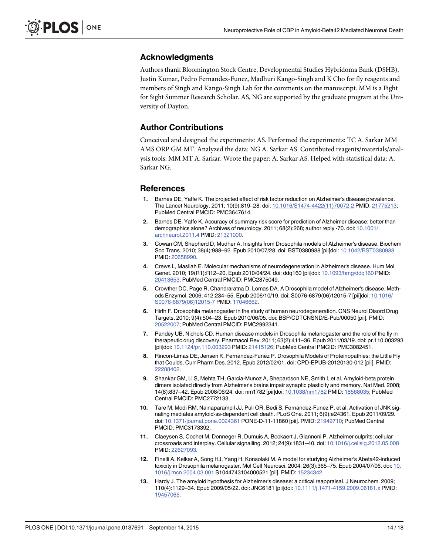#### Acknowledgments

Authors thank Bloomington Stock Centre, Developmental Studies Hybridoma Bank (DSHB), Justin Kumar, Pedro Fernandez-Funez, Madhuri Kango-Singh and K Cho for fly reagents and members of Singh and Kango-Singh Lab for the comments on the manuscript. MM is a Fight for Sight Summer Research Scholar. AS, NG are supported by the graduate program at the University of Dayton.

## Author Contributions

Conceived and designed the experiments: AS. Performed the experiments: TC A. Sarkar MM AMS ORP GM MT. Analyzed the data: NG A. Sarkar AS. Contributed reagents/materials/analysis tools: MM MT A. Sarkar. Wrote the paper: A. Sarkar AS. Helped with statistical data: A. Sarkar NG.

#### References

- 1. Barnes DE, Yaffe K. The projected effect of risk factor reduction on Alzheimer's disease prevalence. The Lancet Neurology. 2011; 10(9):819–28. doi: 10.1016/S1474-4422(11)70072-2 PMID: 21775213; PubMed Central PMCID: PMC3647614.
- 2. Barnes DE, Yaffe K. Accuracy of summary risk score for prediction of Alzheimer disease: better than demographics alone? Archives of neurology. 2011; 68(2):268; author reply -70. doi: 10.1001/ archneurol.2011.4 PMID: 21321000.
- 3. Cowan CM, Shepherd D, Mudher A. Insights from Drosophila models of Alzheimer's disease. Biochem Soc Trans. 2010; 38(4):988–92. Epub 2010/07/28. doi: BST0380988 [pii]doi: 10.1042/BST0380988 PMID: 20658990.
- 4. Crews L, Masliah E. Molecular mechanisms of neurodegeneration in Alzheimer's disease. Hum Mol Genet. 2010; 19(R1):R12–20. Epub 2010/04/24. doi: ddq160 [pii]doi: 10.1093/hmg/ddq160 PMID: 20413653; PubMed Central PMCID: PMC2875049.
- 5. Crowther DC, Page R, Chandraratna D, Lomas DA. A Drosophila model of Alzheimer's disease. Methods Enzymol. 2006; 412:234–55. Epub 2006/10/19. doi: S0076-6879(06)12015-7 [pii]doi: 10.1016/ S0076-6879(06)12015-7 PMID: 17046662.
- 6. Hirth F. Drosophila melanogaster in the study of human neurodegeneration. CNS Neurol Disord Drug Targets. 2010; 9(4):504–23. Epub 2010/06/05. doi: BSP/CDTCNSND/E-Pub/00050 [pii]. PMID: 20522007; PubMed Central PMCID: PMC2992341.
- 7. Pandey UB, Nichols CD. Human disease models in Drosophila melanogaster and the role of the fly in therapeutic drug discovery. Pharmacol Rev. 2011; 63(2):411–36. Epub 2011/03/19. doi: pr.110.003293 [pii]doi: 10.1124/pr.110.003293 PMID: 21415126; PubMed Central PMCID: PMC3082451.
- 8. Rincon-Limas DE, Jensen K, Fernandez-Funez P. Drosophila Models of Proteinopathies: the Little Fly that Coulds. Curr Pharm Des. 2012. Epub 2012/02/01. doi: CPD-EPUB-20120130-012 [pii]. PMID: 22288402.
- 9. Shankar GM, Li S, Mehta TH, Garcia-Munoz A, Shepardson NE, Smith I, et al. Amyloid-beta protein dimers isolated directly from Alzheimer's brains impair synaptic plasticity and memory. Nat Med. 2008; 14(8):837–42. Epub 2008/06/24. doi: nm1782 [pii]doi: 10.1038/nm1782 PMID: 18568035; PubMed Central PMCID: PMC2772133.
- 10. Tare M, Modi RM, Nainaparampil JJ, Puli OR, Bedi S, Fernandez-Funez P, et al. Activation of JNK signaling mediates amyloid-ss-dependent cell death. PLoS One. 2011; 6(9):e24361. Epub 2011/09/29. doi: 10.1371/journal.pone.0024361 PONE-D-11-11860 [pii]. PMID: 21949710; PubMed Central PMCID: PMC3173392.
- 11. Claeysen S, Cochet M, Donneger R, Dumuis A, Bockaert J, Giannoni P. Alzheimer culprits: cellular crossroads and interplay. Cellular signalling. 2012; 24(9):1831–40. doi: 10.1016/j.cellsig.2012.05.008 PMID: 22627093.
- 12. Finelli A, Kelkar A, Song HJ, Yang H, Konsolaki M. A model for studying Alzheimer's Abeta42-induced toxicity in Drosophila melanogaster. Mol Cell Neurosci. 2004; 26(3):365–75. Epub 2004/07/06. doi: 10. 1016/j.mcn.2004.03.001 S1044743104000521 [pii]. PMID: 15234342.
- 13. Hardy J. The amyloid hypothesis for Alzheimer's disease: a critical reappraisal. J Neurochem. 2009; 110(4):1129–34. Epub 2009/05/22. doi: JNC6181 [pii]doi: 10.1111/j.1471-4159.2009.06181.x PMID: 19457065.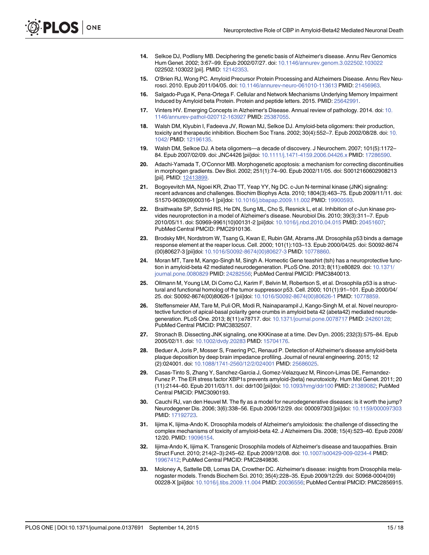- 14. Selkoe DJ, Podlisny MB. Deciphering the genetic basis of Alzheimer's disease. Annu Rev Genomics Hum Genet. 2002; 3:67–99. Epub 2002/07/27. doi: 10.1146/annurev.genom.3.022502.103022 022502.103022 [pii]. PMID: 12142353
- 15. O'Brien RJ, Wong PC. Amyloid Precursor Protein Processing and Alzheimers Disease. Annu Rev Neurosci. 2010. Epub 2011/04/05. doi: 10.1146/annurev-neuro-061010-113613 PMID: 21456963.
- 16. Salgado-Puga K, Pena-Ortega F. Cellular and Network Mechanisms Underlying Memory Impairment Induced by Amyloid beta Protein. Protein and peptide letters. 2015. PMID: 25642991.
- 17. Vinters HV. Emerging Concepts in Alzheimer's Disease. Annual review of pathology. 2014. doi: 10. 1146/annurev-pathol-020712-163927 PMID: 25387055.
- 18. Walsh DM, Klyubin I, Fadeeva JV, Rowan MJ, Selkoe DJ. Amyloid-beta oligomers: their production, toxicity and therapeutic inhibition. Biochem Soc Trans. 2002; 30(4):552–7. Epub 2002/08/28. doi: 10. 1042/ PMID: 12196135.
- 19. Walsh DM, Selkoe DJ. A beta oligomers—a decade of discovery. J Neurochem. 2007; 101(5):1172– 84. Epub 2007/02/09. doi: JNC4426 [pii]doi: 10.1111/j.1471-4159.2006.04426.x PMID: 17286590.
- 20. Adachi-Yamada T, O'Connor MB. Morphogenetic apoptosis: a mechanism for correcting discontinuities in morphogen gradients. Dev Biol. 2002; 251(1):74–90. Epub 2002/11/05. doi: S0012160602908213 [pii]. PMID: 12413899.
- 21. Bogoyevitch MA, Ngoei KR, Zhao TT, Yeap YY, Ng DC. c-Jun N-terminal kinase (JNK) signaling: recent advances and challenges. Biochim Biophys Acta. 2010; 1804(3):463–75. Epub 2009/11/11. doi: S1570-9639(09)00316-1 [pii]doi: 10.1016/j.bbapap.2009.11.002 PMID: 19900593.
- 22. Braithwaite SP, Schmid RS, He DN, Sung ML, Cho S, Resnick L, et al. Inhibition of c-Jun kinase provides neuroprotection in a model of Alzheimer's disease. Neurobiol Dis. 2010; 39(3):311–7. Epub 2010/05/11. doi: S0969-9961(10)00131-2 [pii]doi: 10.1016/j.nbd.2010.04.015 PMID: 20451607; PubMed Central PMCID: PMC2910136.
- 23. Brodsky MH, Nordstrom W, Tsang G, Kwan E, Rubin GM, Abrams JM. Drosophila p53 binds a damage response element at the reaper locus. Cell. 2000; 101(1):103–13. Epub 2000/04/25. doi: S0092-8674 (00)80627-3 [pii]doi: 10.1016/S0092-8674(00)80627-3 PMID: 10778860.
- 24. Moran MT, Tare M, Kango-Singh M, Singh A. Homeotic Gene teashirt (tsh) has a neuroprotective function in amyloid-beta 42 mediated neurodegeneration. PLoS One. 2013; 8(11):e80829. doi: 10.1371/ journal.pone.0080829 PMID: 24282556; PubMed Central PMCID: PMC3840013.
- 25. Ollmann M, Young LM, Di Como CJ, Karim F, Belvin M, Robertson S, et al. Drosophila p53 is a structural and functional homolog of the tumor suppressor p53. Cell. 2000; 101(1):91–101. Epub 2000/04/ 25. doi: S0092-8674(00)80626-1 [pii]doi: 10.1016/S0092-8674(00)80626-1 PMID: 10778859.
- 26. Steffensmeier AM, Tare M, Puli OR, Modi R, Nainaparampil J, Kango-Singh M, et al. Novel neuroprotective function of apical-basal polarity gene crumbs in amyloid beta 42 (abeta42) mediated neurodegeneration. PLoS One. 2013; 8(11):e78717. doi: 10.1371/journal.pone.0078717 PMID: 24260128; PubMed Central PMCID: PMC3832507.
- 27. Stronach B. Dissecting JNK signaling, one KKKinase at a time. Dev Dyn. 2005; 232(3):575–84. Epub 2005/02/11. doi: 10.1002/dvdy.20283 PMID: 15704176.
- 28. Beduer A, Joris P, Mosser S, Fraering PC, Renaud P. Detection of Alzheimer's disease amyloid-beta plaque deposition by deep brain impedance profiling. Journal of neural engineering. 2015; 12 (2):024001. doi: 10.1088/1741-2560/12/2/024001 PMID: 25686025.
- 29. Casas-Tinto S, Zhang Y, Sanchez-Garcia J, Gomez-Velazquez M, Rincon-Limas DE, Fernandez-Funez P. The ER stress factor XBP1s prevents amyloid-{beta} neurotoxicity. Hum Mol Genet. 2011; 20 (11):2144–60. Epub 2011/03/11. doi: ddr100 [pii]doi: 10.1093/hmg/ddr100 PMID: 21389082; PubMed Central PMCID: PMC3090193.
- 30. Cauchi RJ, van den Heuvel M. The fly as a model for neurodegenerative diseases: is it worth the jump? Neurodegener Dis. 2006; 3(6):338–56. Epub 2006/12/29. doi: 000097303 [pii]doi: 10.1159/000097303 PMID: 17192723.
- 31. Iijima K, Iijima-Ando K. Drosophila models of Alzheimer's amyloidosis: the challenge of dissecting the complex mechanisms of toxicity of amyloid-beta 42. J Alzheimers Dis. 2008; 15(4):523–40. Epub 2008/ 12/20. PMID: 19096154.
- 32. Iijima-Ando K, Iijima K. Transgenic Drosophila models of Alzheimer's disease and tauopathies. Brain Struct Funct. 2010; 214(2–3):245–62. Epub 2009/12/08. doi: 10.1007/s00429-009-0234-4 PMID: 19967412; PubMed Central PMCID: PMC2849836.
- 33. Moloney A, Sattelle DB, Lomas DA, Crowther DC. Alzheimer's disease: insights from Drosophila melanogaster models. Trends Biochem Sci. 2010; 35(4):228–35. Epub 2009/12/29. doi: S0968-0004(09) 00228-X [pii]doi: 10.1016/j.tibs.2009.11.004 PMID: 20036556; PubMed Central PMCID: PMC2856915.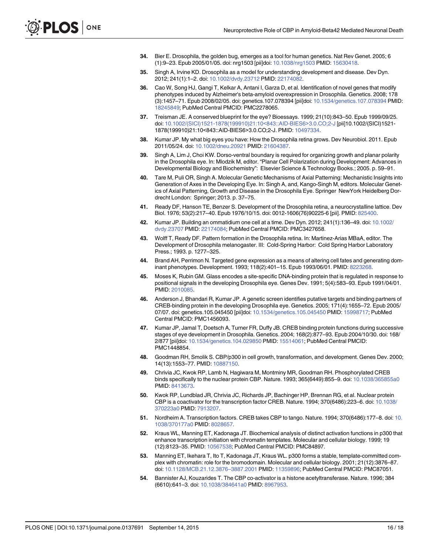- 34. Bier E. Drosophila, the golden bug, emerges as a tool for human genetics. Nat Rev Genet. 2005; 6 (1):9–23. Epub 2005/01/05. doi: nrg1503 [pii]doi: 10.1038/nrg1503 PMID: 15630418.
- 35. Singh A, Irvine KD. Drosophila as a model for understanding development and disease. Dev Dyn. 2012; 241(1):1–2. doi: 10.1002/dvdy.23712 PMID: 22174082.
- 36. Cao W, Song HJ, Gangi T, Kelkar A, Antani I, Garza D, et al. Identification of novel genes that modify phenotypes induced by Alzheimer's beta-amyloid overexpression in Drosophila. Genetics. 2008; 178 (3):1457–71. Epub 2008/02/05. doi: genetics.107.078394 [pii]doi: 10.1534/genetics.107.078394 PMID: 18245849; PubMed Central PMCID: PMC2278065.
- 37. Treisman JE. A conserved blueprint for the eye? Bioessays. 1999; 21(10):843–50. Epub 1999/09/25. doi: 10.1002/(SICI)1521-1878(199910)21:10<843::AID-BIES6>3.0.CO;2-J [pii]10.1002/(SICI)1521- 1878(199910)21:10<843::AID-BIES6>3.0.CO;2-J. PMID: 10497334.
- 38. Kumar JP. My what big eyes you have: How the Drosophila retina grows. Dev Neurobiol. 2011. Epub 2011/05/24. doi: 10.1002/dneu.20921 PMID: 21604387.
- 39. Singh A, Lim J, Choi KW. Dorso-ventral boundary is required for organizing growth and planar polarity in the Drosophila eye. In: Mlodzik M, editor. "Planar Cell Polarization during Development: Advances in Developmental Biology and Biochemistry": Elsevier Science & Technology Books.; 2005. p. 59–91.
- 40. Tare M, Puli OR, Singh A. Molecular Genetic Mechanisms of Axial Patterning: Mechanistic Insights into Generation of Axes in the Developing Eye. In: Singh A, and, Kango-Singh M, editors. Molecular Genetics of Axial Patterning, Growth and Disease in the Drosophila Eye. Springer NewYork Heidelberg Dordrecht London: Springer; 2013. p. 37–75.
- 41. Ready DF, Hanson TE, Benzer S. Development of the Drosophila retina, a neurocrystalline lattice. Dev Biol. 1976; 53(2):217–40. Epub 1976/10/15. doi: 0012-1606(76)90225-6 [pii]. PMID: 825400.
- 42. Kumar JP. Building an ommatidium one cell at a time. Dev Dyn. 2012; 241(1):136–49. doi: 10.1002/ dvdy.23707 PMID: 22174084; PubMed Central PMCID: PMC3427658.
- 43. Wolff T, Ready DF. Pattern formation in the Drosophila retina. In: Martinez-Arias MBaA, editor. The Development of Drosophila melanogaster. III: Cold-Spring Harbor: Cold Spring Harbor Laboratory Press.; 1993. p. 1277–325.
- 44. Brand AH, Perrimon N. Targeted gene expression as a means of altering cell fates and generating dominant phenotypes. Development. 1993; 118(2):401–15. Epub 1993/06/01. PMID: 8223268.
- 45. Moses K, Rubin GM. Glass encodes a site-specific DNA-binding protein that is regulated in response to positional signals in the developing Drosophila eye. Genes Dev. 1991; 5(4):583–93. Epub 1991/04/01. PMID: 2010085.
- 46. Anderson J, Bhandari R, Kumar JP. A genetic screen identifies putative targets and binding partners of CREB-binding protein in the developing Drosophila eye. Genetics. 2005; 171(4):1655–72. Epub 2005/ 07/07. doi: genetics.105.045450 [pii]doi: 10.1534/genetics.105.045450 PMID: 15998717; PubMed Central PMCID: PMC1456093.
- 47. Kumar JP, Jamal T, Doetsch A, Turner FR, Duffy JB. CREB binding protein functions during successive stages of eye development in Drosophila. Genetics. 2004; 168(2):877–93. Epub 2004/10/30. doi: 168/ 2/877 [pii]doi: 10.1534/genetics.104.029850 PMID: 15514061; PubMed Central PMCID: PMC1448854.
- 48. Goodman RH, Smolik S. CBP/p300 in cell growth, transformation, and development. Genes Dev. 2000; 14(13):1553–77. PMID: 10887150.
- 49. Chrivia JC, Kwok RP, Lamb N, Hagiwara M, Montminy MR, Goodman RH. Phosphorylated CREB binds specifically to the nuclear protein CBP. Nature. 1993; 365(6449):855–9. doi: 10.1038/365855a0 PMID: 8413673.
- 50. Kwok RP, Lundblad JR, Chrivia JC, Richards JP, Bachinger HP, Brennan RG, et al. Nuclear protein CBP is a coactivator for the transcription factor CREB. Nature. 1994; 370(6486):223–6. doi: 10.1038/ 370223a0 PMID: 7913207.
- 51. Nordheim A. Transcription factors. CREB takes CBP to tango. Nature. 1994; 370(6486):177–8. doi: 10. 1038/370177a0 PMID: 8028657.
- 52. Kraus WL, Manning ET, Kadonaga JT. Biochemical analysis of distinct activation functions in p300 that enhance transcription initiation with chromatin templates. Molecular and cellular biology. 1999; 19 (12):8123–35. PMID: 10567538; PubMed Central PMCID: PMC84897.
- 53. Manning ET, Ikehara T, Ito T, Kadonaga JT, Kraus WL. p300 forms a stable, template-committed complex with chromatin: role for the bromodomain. Molecular and cellular biology. 2001; 21(12):3876–87. doi: 10.1128/MCB.21.12.3876–3887.2001 PMID: 11359896; PubMed Central PMCID: PMC87051.
- 54. Bannister AJ, Kouzarides T. The CBP co-activator is a histone acetyltransferase. Nature. 1996; 384 (6610):641–3. doi: 10.1038/384641a0 PMID: 8967953.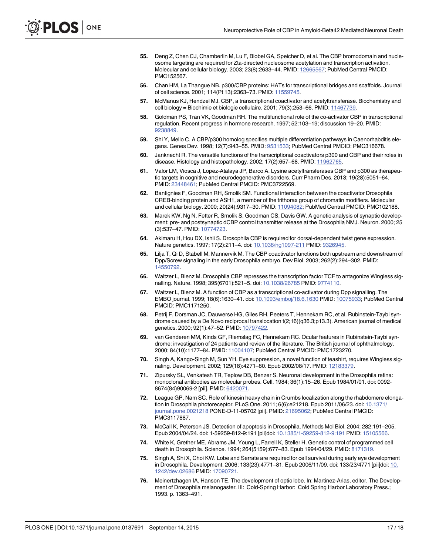- 55. Deng Z, Chen CJ, Chamberlin M, Lu F, Blobel GA, Speicher D, et al. The CBP bromodomain and nucleosome targeting are required for Zta-directed nucleosome acetylation and transcription activation. Molecular and cellular biology. 2003; 23(8):2633–44. PMID: 12665567; PubMed Central PMCID: PMC152567.
- 56. Chan HM, La Thangue NB. p300/CBP proteins: HATs for transcriptional bridges and scaffolds. Journal of cell science. 2001; 114(Pt 13):2363–73. PMID: 11559745.
- 57. McManus KJ, Hendzel MJ. CBP, a transcriptional coactivator and acetyltransferase. Biochemistry and cell biology = Biochimie et biologie cellulaire. 2001; 79(3):253–66. PMID: 11467739.
- 58. Goldman PS, Tran VK, Goodman RH. The multifunctional role of the co-activator CBP in transcriptional regulation. Recent progress in hormone research. 1997; 52:103–19; discussion 19–20. PMID: 9238849.
- 59. Shi Y, Mello C. A CBP/p300 homolog specifies multiple differentiation pathways in Caenorhabditis elegans. Genes Dev. 1998; 12(7):943–55. PMID: 9531533; PubMed Central PMCID: PMC316678.
- 60. Janknecht R. The versatile functions of the transcriptional coactivators p300 and CBP and their roles in disease. Histology and histopathology. 2002; 17(2):657-68. PMID: 11962765
- 61. Valor LM, Viosca J, Lopez-Atalaya JP, Barco A. Lysine acetyltransferases CBP and p300 as therapeutic targets in cognitive and neurodegenerative disorders. Curr Pharm Des. 2013; 19(28):5051–64. PMID: 23448461; PubMed Central PMCID: PMC3722569.
- 62. Bantignies F, Goodman RH, Smolik SM. Functional interaction between the coactivator Drosophila CREB-binding protein and ASH1, a member of the trithorax group of chromatin modifiers. Molecular and cellular biology. 2000; 20(24):9317–30. PMID: 11094082; PubMed Central PMCID: PMC102188.
- 63. Marek KW, Ng N, Fetter R, Smolik S, Goodman CS, Davis GW. A genetic analysis of synaptic development: pre- and postsynaptic dCBP control transmitter release at the Drosophila NMJ. Neuron. 2000; 25 (3):537–47. PMID: 10774723.
- 64. Akimaru H, Hou DX, Ishii S. Drosophila CBP is required for dorsal-dependent twist gene expression. Nature genetics. 1997; 17(2):211-4. doi: 10.1038/ng1097-211 PMID: 9326945.
- 65. Lilja T, Qi D, Stabell M, Mannervik M. The CBP coactivator functions both upstream and downstream of Dpp/Screw signaling in the early Drosophila embryo. Dev Biol. 2003; 262(2):294–302. PMID: 14550792.
- 66. Waltzer L, Bienz M. Drosophila CBP represses the transcription factor TCF to antagonize Wingless signalling. Nature. 1998; 395(6701):521–5. doi: 10.1038/26785 PMID: 9774110.
- 67. Waltzer L, Bienz M. A function of CBP as a transcriptional co-activator during Dpp signalling. The EMBO journal. 1999; 18(6):1630–41. doi: 10.1093/emboj/18.6.1630 PMID: 10075933; PubMed Central PMCID: PMC1171250.
- 68. Petrij F, Dorsman JC, Dauwerse HG, Giles RH, Peeters T, Hennekam RC, et al. Rubinstein-Taybi syndrome caused by a De Novo reciprocal translocation t(2;16)(q36.3;p13.3). American journal of medical genetics. 2000; 92(1):47-52. PMID: 10797422.
- 69. van Genderen MM, Kinds GF, Riemslag FC, Hennekam RC. Ocular features in Rubinstein-Taybi syndrome: investigation of 24 patients and review of the literature. The British journal of ophthalmology. 2000; 84(10):1177–84. PMID: 11004107; PubMed Central PMCID: PMC1723270.
- 70. Singh A, Kango-Singh M, Sun YH. Eye suppression, a novel function of teashirt, requires Wingless signaling. Development. 2002; 129(18):4271-80. Epub 2002/08/17. PMID: 12183379.
- 71. Zipursky SL, Venkatesh TR, Teplow DB, Benzer S. Neuronal development in the Drosophila retina: monoclonal antibodies as molecular probes. Cell. 1984; 36(1):15–26. Epub 1984/01/01. doi: 0092- 8674(84)90069-2 [pii]. PMID: 6420071.
- 72. League GP, Nam SC. Role of kinesin heavy chain in Crumbs localization along the rhabdomere elongation in Drosophila photoreceptor. PLoS One. 2011; 6(6):e21218. Epub 2011/06/23. doi: 10.1371/ journal.pone.0021218 PONE-D-11-05702 [pii]. PMID: 21695062; PubMed Central PMCID: PMC3117887.
- 73. McCall K, Peterson JS. Detection of apoptosis in Drosophila. Methods Mol Biol. 2004; 282:191–205. Epub 2004/04/24. doi: 1-59259-812-9:191 [pii]doi: 10.1385/1-59259-812-9:191 PMID: 15105566.
- 74. White K, Grether ME, Abrams JM, Young L, Farrell K, Steller H. Genetic control of programmed cell death in Drosophila. Science. 1994; 264(5159):677–83. Epub 1994/04/29. PMID: 8171319.
- 75. Singh A, Shi X, Choi KW. Lobe and Serrate are required for cell survival during early eye development in Drosophila. Development. 2006; 133(23):4771–81. Epub 2006/11/09. doi: 133/23/4771 [pii]doi: 10. 1242/dev.02686 PMID: 17090721.
- 76. Meinertzhagen IA, Hanson TE. The development of optic lobe. In: Martinez-Arias, editor. The Development of Drosophila melanogaster. III: Cold-Spring Harbor: Cold Spring Harbor Laboratory Press.; 1993. p. 1363–491.